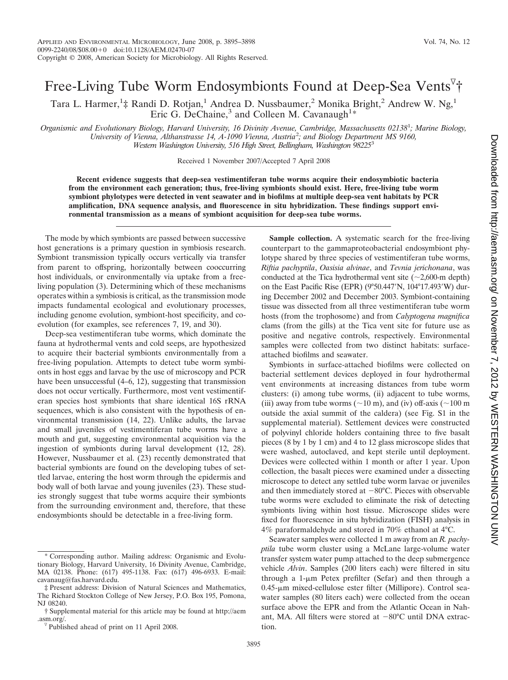## Free-Living Tube Worm Endosymbionts Found at Deep-Sea Vents<sup>v</sup>†

Tara L. Harmer,<sup>1</sup>‡ Randi D. Rotjan,<sup>1</sup> Andrea D. Nussbaumer,<sup>2</sup> Monika Bright,<sup>2</sup> Andrew W. Ng,<sup>1</sup> Eric G. DeChaine,<sup>3</sup> and Colleen M. Cavanaugh<sup>1\*</sup>

*Organismic and Evolutionary Biology, Harvard University, 16 Divinity Avenue, Cambridge, Massachusetts 02138*<sup>1</sup> *; Marine Biology, University of Vienna, Althanstrasse 14, A-1090 Vienna, Austria*<sup>2</sup> *; and Biology Department MS 9160, Western Washington University, 516 High Street, Bellingham, Washington 98225*<sup>3</sup>

Received 1 November 2007/Accepted 7 April 2008

**Recent evidence suggests that deep-sea vestimentiferan tube worms acquire their endosymbiotic bacteria from the environment each generation; thus, free-living symbionts should exist. Here, free-living tube worm symbiont phylotypes were detected in vent seawater and in biofilms at multiple deep-sea vent habitats by PCR amplification, DNA sequence analysis, and fluorescence in situ hybridization. These findings support environmental transmission as a means of symbiont acquisition for deep-sea tube worms.**

The mode by which symbionts are passed between successive host generations is a primary question in symbiosis research. Symbiont transmission typically occurs vertically via transfer from parent to offspring, horizontally between cooccurring host individuals, or environmentally via uptake from a freeliving population (3). Determining which of these mechanisms operates within a symbiosis is critical, as the transmission mode impacts fundamental ecological and evolutionary processes, including genome evolution, symbiont-host specificity, and coevolution (for examples, see references 7, 19, and 30).

Deep-sea vestimentiferan tube worms, which dominate the fauna at hydrothermal vents and cold seeps, are hypothesized to acquire their bacterial symbionts environmentally from a free-living population. Attempts to detect tube worm symbionts in host eggs and larvae by the use of microscopy and PCR have been unsuccessful (4–6, 12), suggesting that transmission does not occur vertically. Furthermore, most vent vestimentiferan species host symbionts that share identical 16S rRNA sequences, which is also consistent with the hypothesis of environmental transmission (14, 22). Unlike adults, the larvae and small juveniles of vestimentiferan tube worms have a mouth and gut, suggesting environmental acquisition via the ingestion of symbionts during larval development (12, 28). However, Nussbaumer et al. (23) recently demonstrated that bacterial symbionts are found on the developing tubes of settled larvae, entering the host worm through the epidermis and body wall of both larvae and young juveniles (23). These studies strongly suggest that tube worms acquire their symbionts from the surrounding environment and, therefore, that these endosymbionts should be detectable in a free-living form.

**Sample collection.** A systematic search for the free-living counterpart to the gammaproteobacterial endosymbiont phylotype shared by three species of vestimentiferan tube worms, *Riftia pachyptila*, *Oasisia alvinae*, and *Tevnia jerichonana*, was conducted at the Tica hydrothermal vent site  $(\sim 2,600$ -m depth) on the East Pacific Rise (EPR) (9°50.447'N, 104°17.493'W) during December 2002 and December 2003. Symbiont-containing tissue was dissected from all three vestimentiferan tube worm hosts (from the trophosome) and from *Calyptogena magnifica* clams (from the gills) at the Tica vent site for future use as positive and negative controls, respectively. Environmental samples were collected from two distinct habitats: surfaceattached biofilms and seawater.

Symbionts in surface-attached biofilms were collected on bacterial settlement devices deployed in four hydrothermal vent environments at increasing distances from tube worm clusters: (i) among tube worms, (ii) adjacent to tube worms, (iii) away from tube worms ( $\sim$ 10 m), and (iv) off-axis ( $\sim$ 100 m outside the axial summit of the caldera) (see Fig. S1 in the supplemental material). Settlement devices were constructed of polyvinyl chloride holders containing three to five basalt pieces (8 by 1 by 1 cm) and 4 to 12 glass microscope slides that were washed, autoclaved, and kept sterile until deployment. Devices were collected within 1 month or after 1 year. Upon collection, the basalt pieces were examined under a dissecting microscope to detect any settled tube worm larvae or juveniles and then immediately stored at  $-80^{\circ}$ C. Pieces with observable tube worms were excluded to eliminate the risk of detecting symbionts living within host tissue. Microscope slides were fixed for fluorescence in situ hybridization (FISH) analysis in 4% paraformaldehyde and stored in 70% ethanol at 4°C.

Seawater samples were collected 1 m away from an *R. pachyptila* tube worm cluster using a McLane large-volume water transfer system water pump attached to the deep submergence vehicle *Alvin*. Samples (200 liters each) were filtered in situ through a 1- $\mu$ m Petex prefilter (Sefar) and then through a 0.45-m mixed-cellulose ester filter (Millipore). Control seawater samples (80 liters each) were collected from the ocean surface above the EPR and from the Atlantic Ocean in Nahant, MA. All filters were stored at  $-80^{\circ}$ C until DNA extraction.

Corresponding author. Mailing address: Organismic and Evolutionary Biology, Harvard University, 16 Divinity Avenue, Cambridge, MA 02138. Phone: (617) 495-1138. Fax: (617) 496-6933. E-mail: cavanaug@fas.harvard.edu.

<sup>‡</sup> Present address: Division of Natural Sciences and Mathematics, The Richard Stockton College of New Jersey, P.O. Box 195, Pomona, NJ 08240.

<sup>†</sup> Supplemental material for this article may be found at http://aem .asm.org/.  $\nabla$  Published ahead of print on 11 April 2008.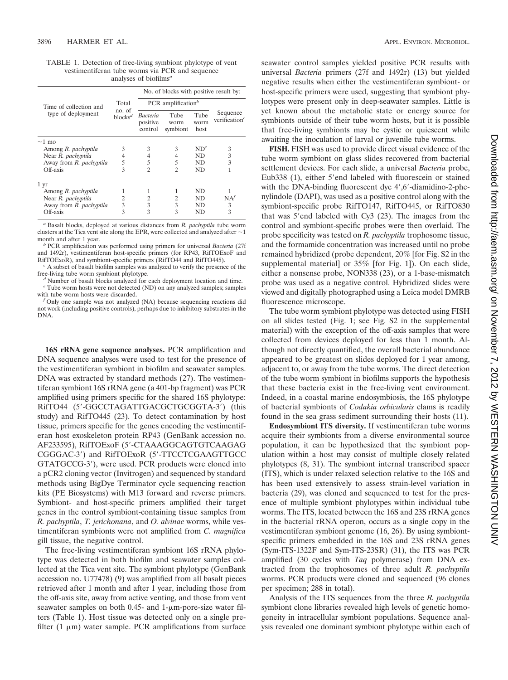TABLE 1. Detection of free-living symbiont phylotype of vent vestimentiferan tube worms via PCR and sequence analyses of biofilms*<sup>a</sup>*

| Time of collection and<br>type of deployment | Total<br>no. of<br>$block{block}^d$ | No. of blocks with positive result by: |                          |                      |                               |
|----------------------------------------------|-------------------------------------|----------------------------------------|--------------------------|----------------------|-------------------------------|
|                                              |                                     | PCR amplification $b$                  |                          |                      |                               |
|                                              |                                     | <i>Bacteria</i><br>positive<br>control | Tube<br>worm<br>symbiont | Tube<br>worm<br>host | Sequence<br>verification $^c$ |
| $\sim$ 1 mo                                  |                                     |                                        |                          |                      |                               |
| Among R. pachyptila                          | 3                                   | 3                                      | 3                        | $ND^e$               | 3                             |
| Near R. pachyptila                           |                                     | 4                                      | 4                        | ND.                  | 3                             |
| Away from R. pachyptila                      | 5                                   | 5                                      | 5                        | ND.                  | 3                             |
| Off-axis                                     | 3                                   | $\mathfrak{D}$                         | $\mathfrak{D}$           | ND                   |                               |
| 1 yr                                         |                                     |                                        |                          |                      |                               |
| Among R. pachyptila                          |                                     |                                        |                          | ND                   |                               |
| Near R. pachyptila                           |                                     |                                        | 2                        | ND.                  | NA <sup>f</sup>               |
| Away from R. pachyptila                      | 3                                   | 3                                      | 3                        | ND.                  | 3                             |
| Off-axis                                     | 3                                   | 3                                      | 3                        | ND                   | 3                             |

*<sup>a</sup>* Basalt blocks, deployed at various distances from *R. pachyptila* tube worm clusters at the Tica vent site along the EPR, were collected and analyzed after  $\sim$  1 month and after 1 year. *<sup>b</sup>* PCR amplification was performed using primers for universal *Bacteria* (27f

and 1492r), vestimentiferan host-specific primers (for RP43, RifTOExoF and RifTOExoR), and symbiont-specific primers (RifTO44 and RifTO445).

<sup>c</sup> A subset of basalt biofilm samples was analyzed to verify the presence of the free-living tube worm symbiont phylotype.

Number of basalt blocks analyzed for each deployment location and time. *<sup>e</sup>* Tube worm hosts were not detected (ND) on any analyzed samples; samples

f Only one sample was not analyzed (NA) because sequencing reactions did not work (including positive controls), perhaps due to inhibitory substrates in the DNA.

**16S rRNA gene sequence analyses.** PCR amplification and DNA sequence analyses were used to test for the presence of the vestimentiferan symbiont in biofilm and seawater samples. DNA was extracted by standard methods (27). The vestimentiferan symbiont 16S rRNA gene (a 401-bp fragment) was PCR amplified using primers specific for the shared 16S phylotype: RifTO44 (5'-GGCCTAGATTGACGCTGCGGTA-3') (this study) and RifTO445 (23). To detect contamination by host tissue, primers specific for the genes encoding the vestimentiferan host exoskeleton protein RP43 (GenBank accession no. AF233595), RifTOExoF (5-CTAAAGGCAGTGTCAAGAG CGGGAC-3) and RifTOExoR (5-TTCCTCGAAGTTGCC GTATGCCG-3), were used. PCR products were cloned into a pCR2 cloning vector (Invitrogen) and sequenced by standard methods using BigDye Terminator cycle sequencing reaction kits (PE Biosystems) with M13 forward and reverse primers. Symbiont- and host-specific primers amplified their target genes in the control symbiont-containing tissue samples from *R. pachyptila*, *T. jerichonana*, and *O. alvinae* worms, while vestimentiferan symbionts were not amplified from *C. magnifica* gill tissue, the negative control.

The free-living vestimentiferan symbiont 16S rRNA phylotype was detected in both biofilm and seawater samples collected at the Tica vent site. The symbiont phylotype (GenBank accession no. U77478) (9) was amplified from all basalt pieces retrieved after 1 month and after 1 year, including those from the off-axis site, away from active venting, and those from vent seawater samples on both 0.45- and  $1$ - $\mu$ m-pore-size water filters (Table 1). Host tissue was detected only on a single prefilter (1  $\mu$ m) water sample. PCR amplifications from surface

seawater control samples yielded positive PCR results with universal *Bacteria* primers (27f and 1492r) (13) but yielded negative results when either the vestimentiferan symbiont- or host-specific primers were used, suggesting that symbiont phylotypes were present only in deep-seawater samples. Little is yet known about the metabolic state or energy source for symbionts outside of their tube worm hosts, but it is possible that free-living symbionts may be cystic or quiescent while awaiting the inoculation of larval or juvenile tube worms.

**FISH.** FISH was used to provide direct visual evidence of the tube worm symbiont on glass slides recovered from bacterial settlement devices. For each slide, a universal *Bacteria* probe, Eub338 (1), either 5'end labeled with fluorescein or stained with the DNA-binding fluorescent dye 4',6'-diamidino-2-phenylindole (DAPI), was used as a positive control along with the symbiont-specific probe RifTO147, RifTO445, or RifTO830 that was 5'end labeled with Cy3  $(23)$ . The images from the control and symbiont-specific probes were then overlaid. The probe specificity was tested on *R. pachyptila* trophosome tissue, and the formamide concentration was increased until no probe remained hybridized (probe dependent, 20% [for Fig. S2 in the supplemental material] or 35% [for Fig. 1]). On each slide, either a nonsense probe, NON338 (23), or a 1-base-mismatch probe was used as a negative control. Hybridized slides were viewed and digitally photographed using a Leica model DMRB fluorescence microscope.

The tube worm symbiont phylotype was detected using FISH on all slides tested (Fig. 1; see Fig. S2 in the supplemental material) with the exception of the off-axis samples that were collected from devices deployed for less than 1 month. Although not directly quantified, the overall bacterial abundance appeared to be greatest on slides deployed for 1 year among, adjacent to, or away from the tube worms. The direct detection of the tube worm symbiont in biofilms supports the hypothesis that these bacteria exist in the free-living vent environment. Indeed, in a coastal marine endosymbiosis, the 16S phylotype of bacterial symbionts of *Codakia orbicularis* clams is readily found in the sea grass sediment surrounding their hosts (11).

**Endosymbiont ITS diversity.** If vestimentiferan tube worms acquire their symbionts from a diverse environmental source population, it can be hypothesized that the symbiont population within a host may consist of multiple closely related phylotypes (8, 31). The symbiont internal transcribed spacer (ITS), which is under relaxed selection relative to the 16S and has been used extensively to assess strain-level variation in bacteria (29), was cloned and sequenced to test for the presence of multiple symbiont phylotypes within individual tube worms. The ITS, located between the 16S and 23S rRNA genes in the bacterial rRNA operon, occurs as a single copy in the vestimentiferan symbiont genome (16, 26). By using symbiontspecific primers embedded in the 16S and 23S rRNA genes (Sym-ITS-1322F and Sym-ITS-23SR) (31), the ITS was PCR amplified (30 cycles with *Taq* polymerase) from DNA extracted from the trophosomes of three adult *R. pachyptila* worms. PCR products were cloned and sequenced (96 clones per specimen; 288 in total).

Analysis of the ITS sequences from the three *R. pachyptila* symbiont clone libraries revealed high levels of genetic homogeneity in intracellular symbiont populations. Sequence analysis revealed one dominant symbiont phylotype within each of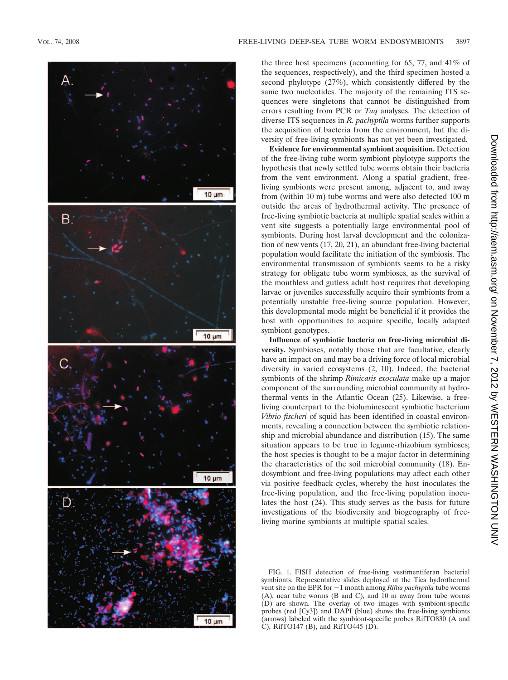

the three host specimens (accounting for 65, 77, and 41% of the sequences, respectively), and the third specimen hosted a second phylotype (27%), which consistently differed by the same two nucleotides. The majority of the remaining ITS sequences were singletons that cannot be distinguished from errors resulting from PCR or *Taq* analyses. The detection of diverse ITS sequences in *R. pachyptila* worms further supports the acquisition of bacteria from the environment, but the diversity of free-living symbionts has not yet been investigated.

**Evidence for environmental symbiont acquisition.** Detection of the free-living tube worm symbiont phylotype supports the hypothesis that newly settled tube worms obtain their bacteria from the vent environment. Along a spatial gradient, freeliving symbionts were present among, adjacent to, and away from (within 10 m) tube worms and were also detected 100 m outside the areas of hydrothermal activity. The presence of free-living symbiotic bacteria at multiple spatial scales within a vent site suggests a potentially large environmental pool of symbionts. During host larval development and the colonization of new vents (17, 20, 21), an abundant free-living bacterial population would facilitate the initiation of the symbiosis. The environmental transmission of symbionts seems to be a risky strategy for obligate tube worm symbioses, as the survival of the mouthless and gutless adult host requires that developing larvae or juveniles successfully acquire their symbionts from a potentially unstable free-living source population. However, this developmental mode might be beneficial if it provides the host with opportunities to acquire specific, locally adapted symbiont genotypes.

**Influence of symbiotic bacteria on free-living microbial diversity.** Symbioses, notably those that are facultative, clearly have an impact on and may be a driving force of local microbial diversity in varied ecosystems (2, 10). Indeed, the bacterial symbionts of the shrimp *Rimicaris exoculata* make up a major component of the surrounding microbial community at hydrothermal vents in the Atlantic Ocean (25). Likewise, a freeliving counterpart to the bioluminescent symbiotic bacterium *Vibrio fischeri* of squid has been identified in coastal environments, revealing a connection between the symbiotic relationship and microbial abundance and distribution (15). The same situation appears to be true in legume-rhizobium symbioses; the host species is thought to be a major factor in determining the characteristics of the soil microbial community (18). Endosymbiont and free-living populations may affect each other via positive feedback cycles, whereby the host inoculates the free-living population, and the free-living population inoculates the host (24). This study serves as the basis for future investigations of the biodiversity and biogeography of freeliving marine symbionts at multiple spatial scales.

FIG. 1. FISH detection of free-living vestimentiferan bacterial symbionts. Representative slides deployed at the Tica hydrothermal vent site on the EPR for -1 month among *Riftia pachyptila* tube worms (A), near tube worms (B and C), and 10 m away from tube worms (D) are shown. The overlay of two images with symbiont-specific probes (red [Cy3]) and DAPI (blue) shows the free-living symbionts (arrows) labeled with the symbiont-specific probes RifTO830 (A and C), RifTO147 (B), and RifTO445 (D).